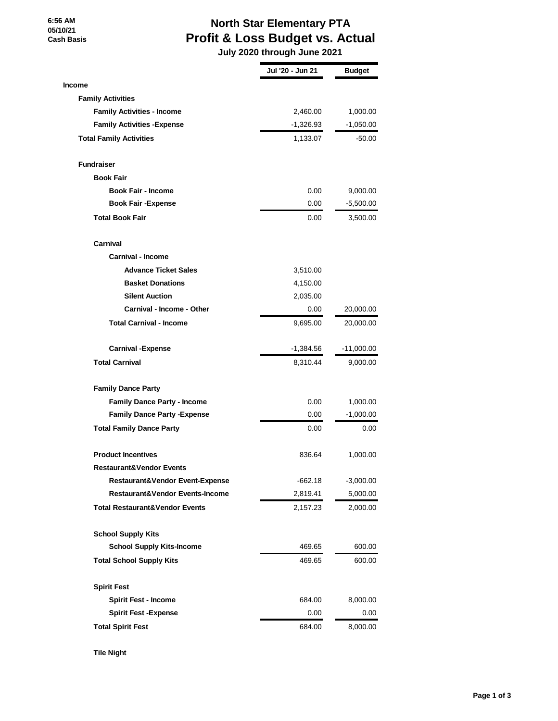#### **6:56 AM 05/10/21 Cash Basis**

## **North Star Elementary PTA Profit & Loss Budget vs. Actual**

 **July 2020 through June 2021**

|                                           | Jul '20 - Jun 21 | <b>Budget</b> |
|-------------------------------------------|------------------|---------------|
| <b>Income</b>                             |                  |               |
| <b>Family Activities</b>                  |                  |               |
| <b>Family Activities - Income</b>         | 2,460.00         | 1,000.00      |
| <b>Family Activities - Expense</b>        | $-1,326.93$      | $-1,050.00$   |
| <b>Total Family Activities</b>            | 1,133.07         | $-50.00$      |
| <b>Fundraiser</b>                         |                  |               |
| <b>Book Fair</b>                          |                  |               |
| <b>Book Fair - Income</b>                 | 0.00             | 9,000.00      |
| <b>Book Fair - Expense</b>                | 0.00             | $-5,500.00$   |
| <b>Total Book Fair</b>                    | 0.00             | 3,500.00      |
| Carnival                                  |                  |               |
| Carnival - Income                         |                  |               |
| <b>Advance Ticket Sales</b>               | 3,510.00         |               |
| <b>Basket Donations</b>                   | 4,150.00         |               |
| <b>Silent Auction</b>                     | 2,035.00         |               |
| <b>Carnival - Income - Other</b>          | 0.00             | 20,000.00     |
| <b>Total Carnival - Income</b>            | 9,695.00         | 20,000.00     |
| <b>Carnival -Expense</b>                  | -1,384.56        | $-11,000.00$  |
| <b>Total Carnival</b>                     | 8,310.44         | 9,000.00      |
| <b>Family Dance Party</b>                 |                  |               |
| <b>Family Dance Party - Income</b>        | 0.00             | 1,000.00      |
| <b>Family Dance Party - Expense</b>       | 0.00             | $-1,000.00$   |
| <b>Total Family Dance Party</b>           | 0.00             | 0.00          |
| <b>Product Incentives</b>                 | 836.64           | 1,000.00      |
| <b>Restaurant&amp;Vendor Events</b>       |                  |               |
| Restaurant&Vendor Event-Expense           | $-662.18$        | $-3,000.00$   |
| Restaurant&Vendor Events-Income           | 2,819.41         | 5,000.00      |
| <b>Total Restaurant&amp;Vendor Events</b> | 2,157.23         | 2,000.00      |
| <b>School Supply Kits</b>                 |                  |               |
| <b>School Supply Kits-Income</b>          | 469.65           | 600.00        |
| <b>Total School Supply Kits</b>           | 469.65           | 600.00        |
| <b>Spirit Fest</b>                        |                  |               |
| <b>Spirit Fest - Income</b>               | 684.00           | 8,000.00      |
| <b>Spirit Fest -Expense</b>               | 0.00             | 0.00          |
| <b>Total Spirit Fest</b>                  | 684.00           | 8,000.00      |

**Tile Night**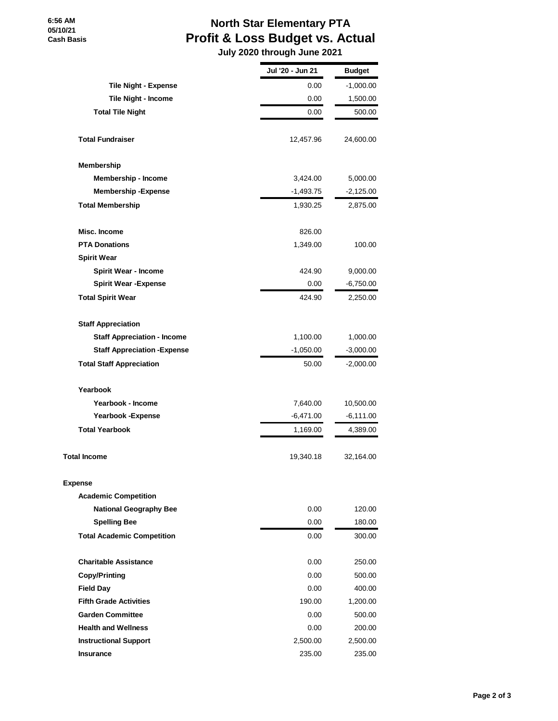#### **6:56 AM 05/10/21 Cash Basis**

# **North Star Elementary PTA Profit & Loss Budget vs. Actual**

 **July 2020 through June 2021**

|                                     | Jul '20 - Jun 21 | <b>Budget</b> |
|-------------------------------------|------------------|---------------|
| <b>Tile Night - Expense</b>         | 0.00             | $-1,000.00$   |
| <b>Tile Night - Income</b>          | 0.00             | 1,500.00      |
| <b>Total Tile Night</b>             | 0.00             | 500.00        |
| <b>Total Fundraiser</b>             | 12,457.96        | 24,600.00     |
| Membership                          |                  |               |
| <b>Membership - Income</b>          | 3,424.00         | 5,000.00      |
| <b>Membership-Expense</b>           | $-1,493.75$      | -2,125.00     |
| <b>Total Membership</b>             | 1,930.25         | 2,875.00      |
| Misc. Income                        | 826.00           |               |
| <b>PTA Donations</b>                | 1,349.00         | 100.00        |
| <b>Spirit Wear</b>                  |                  |               |
| Spirit Wear - Income                | 424.90           | 9,000.00      |
| <b>Spirit Wear -Expense</b>         | 0.00             | $-6,750.00$   |
| <b>Total Spirit Wear</b>            | 424.90           | 2,250.00      |
| <b>Staff Appreciation</b>           |                  |               |
| <b>Staff Appreciation - Income</b>  | 1,100.00         | 1,000.00      |
| <b>Staff Appreciation - Expense</b> | $-1,050.00$      | $-3,000.00$   |
| <b>Total Staff Appreciation</b>     | 50.00            | $-2,000.00$   |
| Yearbook                            |                  |               |
| Yearbook - Income                   | 7,640.00         | 10,500.00     |
| <b>Yearbook -Expense</b>            | $-6,471.00$      | $-6,111.00$   |
| <b>Total Yearbook</b>               | 1,169.00         | 4,389.00      |
| <b>Total Income</b>                 | 19,340.18        | 32,164.00     |
| <b>Expense</b>                      |                  |               |
| <b>Academic Competition</b>         |                  |               |
| <b>National Geography Bee</b>       | 0.00             | 120.00        |
| <b>Spelling Bee</b>                 | $0.00\,$         | 180.00        |
| <b>Total Academic Competition</b>   | $0.00\,$         | 300.00        |
| <b>Charitable Assistance</b>        | $0.00\,$         | 250.00        |
| Copy/Printing                       | 0.00             | 500.00        |
| <b>Field Day</b>                    | $0.00\,$         | 400.00        |
| <b>Fifth Grade Activities</b>       | 190.00           | 1,200.00      |
| <b>Garden Committee</b>             | $0.00\,$         | 500.00        |
| <b>Health and Wellness</b>          | $0.00\,$         | 200.00        |
| <b>Instructional Support</b>        | 2,500.00         | 2,500.00      |
| Insurance                           | 235.00           | 235.00        |